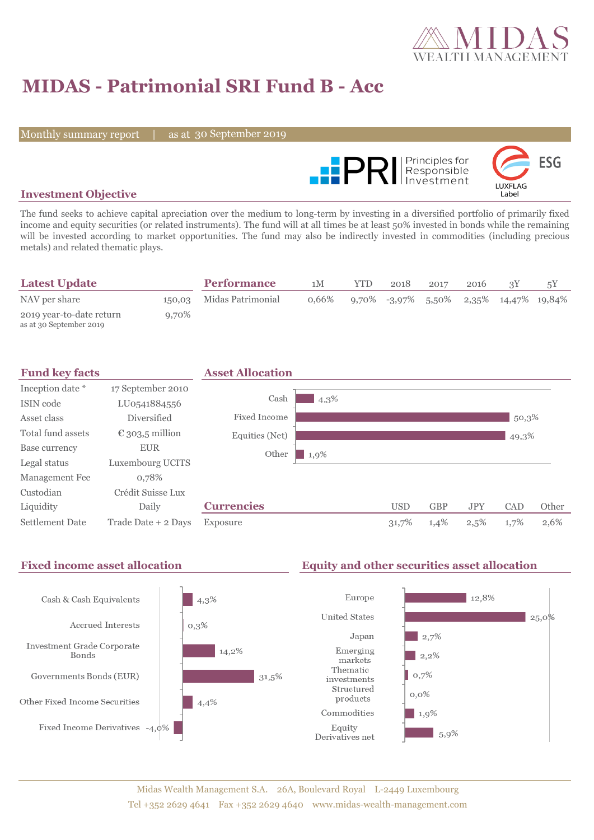

# **MIDAS - Patrimonial SRI Fund B - Acc**

Monthly summary report

30 September 2019



### **Investment Objective**

The fund seeks to achieve capital apreciation over the medium to long-term by investing in a diversified portfolio of primarily fixed income and equity securities (or related instruments). The fund will at all times be at least 50% invested in bonds while the remaining will be invested according to market opportunities. The fund may also be indirectly invested in commodities (including precious metals) and related thematic plays.

| <b>Latest Update</b>                                |       | <b>Performance</b>       | 1M       | <b>YTD</b> | 2018 | 2017 | 2016 |                                           |  |
|-----------------------------------------------------|-------|--------------------------|----------|------------|------|------|------|-------------------------------------------|--|
| NAV per share                                       |       | 150,03 Midas Patrimonial | $0.66\%$ |            |      |      |      | $9,70\%$ -3,97% 5,50% 2,35% 14,47% 19,84% |  |
| 2019 year-to-date return<br>as at 30 September 2019 | 9,70% |                          |          |            |      |      |      |                                           |  |



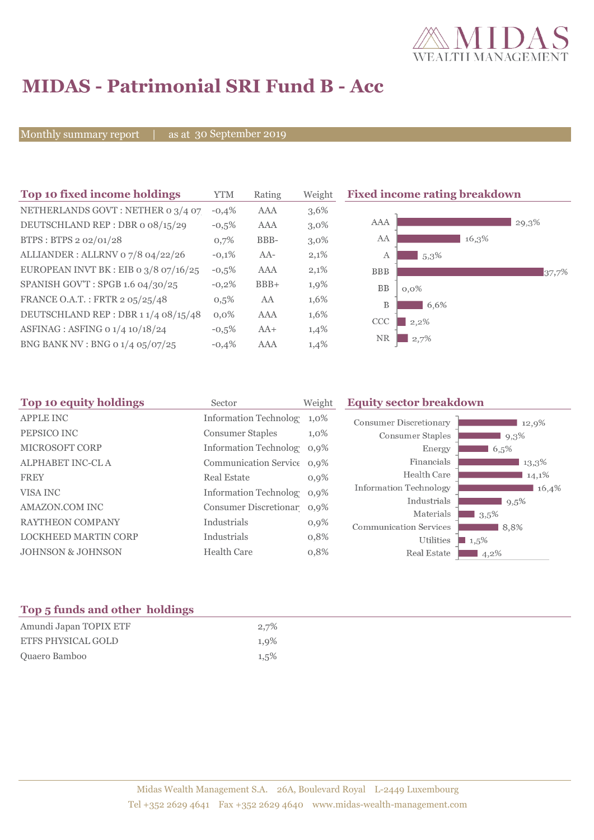

# **MIDAS - Patrimonial SRI Fund B - Acc**

Monthly summary report

as at 30 September 2019

| Top 10 fixed income holdings          | <b>YTM</b> | Rating | Weigh   |
|---------------------------------------|------------|--------|---------|
| NETHERLANDS GOVT: NETHER 0 3/4 07     | $-0.4%$    | AAA    | 3,6%    |
| DEUTSCHLAND REP: DBR o 08/15/29       | $-0.5%$    | AAA    | $3,0\%$ |
| BTPS: BTPS 2 02/01/28                 | 0,7%       | BBB-   | $3,0\%$ |
| ALLIANDER: ALLRNV 07/8 04/22/26       | $-0.1%$    | $AA-$  | 2,1%    |
| EUROPEAN INVT BK : EIB 0 3/8 07/16/25 | $-0.5%$    | AAA    | 2,1%    |
| SPANISH GOV'T: SPGB 1.6 04/30/25      | $-0.2%$    | $BBB+$ | 1,9%    |
| FRANCE O.A.T.: FRTR 2 05/25/48        | $0.5\%$    | AA     | 1,6%    |
| DEUTSCHLAND REP: DBR 11/4 08/15/48    | 0.0%       | AAA    | 1,6%    |
| ASFINAG : ASFING 0 1/4 10/18/24       | $-0.5%$    | $AA+$  | 1,4%    |
| BNG BANK NV : BNG 0 1/4 05/07/25      | $-0.4%$    | AAA    | 1,4%    |

ght **Fixed income rating breakdown** 



| Top 10 equity holdings       | Sector                       | Weight  | <b>Equity sector breakdown</b> |              |  |
|------------------------------|------------------------------|---------|--------------------------------|--------------|--|
| <b>APPLE INC</b>             | <b>Information Technolog</b> | $1,0\%$ | <b>Consumer Discretionary</b>  | 12,9%        |  |
| PEPSICO INC                  | <b>Consumer Staples</b>      | $1,0\%$ | <b>Consumer Staples</b>        | 9,3%         |  |
| <b>MICROSOFT CORP</b>        | Information Technolog 0,9%   |         | Energy                         | 6,5%         |  |
| <b>ALPHABET INC-CLA</b>      | Communication Service 0,9%   |         | Financials                     | 13,3%        |  |
| <b>FREY</b>                  | <b>Real Estate</b>           | $0,9\%$ | Health Care                    | 14,1%        |  |
| VISA INC                     | Information Technolog 0,9%   |         | <b>Information Technology</b>  | 16,4%        |  |
| AMAZON.COM INC               | Consumer Discretionar 0,9%   |         | Industrials<br>Materials       | 9,5%         |  |
| <b>RAYTHEON COMPANY</b>      | Industrials                  | $0,9\%$ | <b>Communication Services</b>  | 3,5%<br>8,8% |  |
| <b>LOCKHEED MARTIN CORP</b>  | Industrials                  | 0,8%    | Utilities                      | $1,5\%$      |  |
| <b>JOHNSON &amp; JOHNSON</b> | <b>Health Care</b>           | 0,8%    | Real Estate                    | 4,2%         |  |
|                              |                              |         |                                |              |  |

### **Top 5 funds and other holdings**

| Amundi Japan TOPIX ETF    | 2,7% |
|---------------------------|------|
| <b>ETFS PHYSICAL GOLD</b> | 1.9% |
| Quaero Bamboo             | 1.5% |